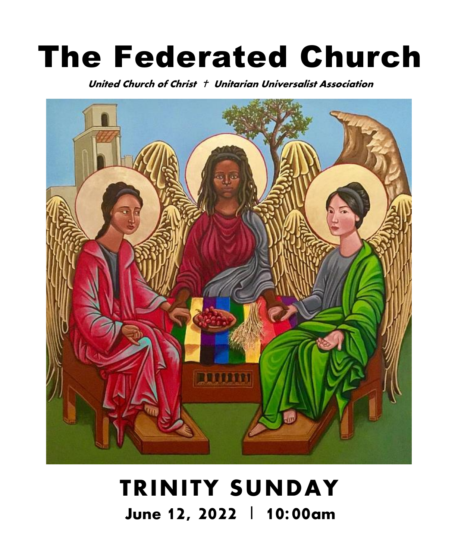# The Federated Church

United Church of Christ Unitarian Universalist Association



# **TRINITY SUNDAY** June 12, 2022 | 10:00am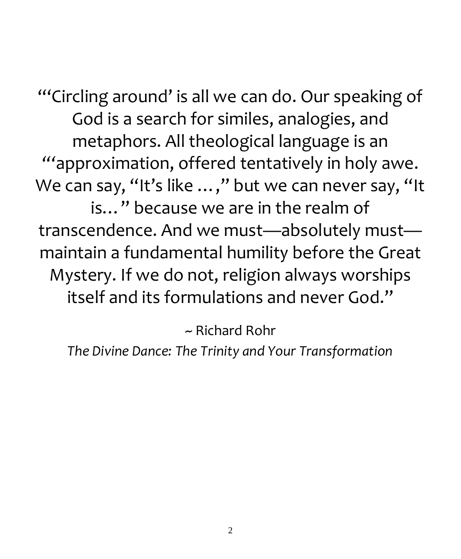"'Circling around' is all we can do. Our speaking of God is a search for similes, analogies, and metaphors. All theological language is an *"'*approximation, offered tentatively in holy awe. We can say, "It's like ...," but we can never say, "It is…" because we are in the realm of transcendence. And we must—absolutely must maintain a fundamental humility before the Great Mystery. If we do not, religion always worships itself and its formulations and never God."

~ Richard Rohr

*The Divine Dance: The Trinity and Your Transformation*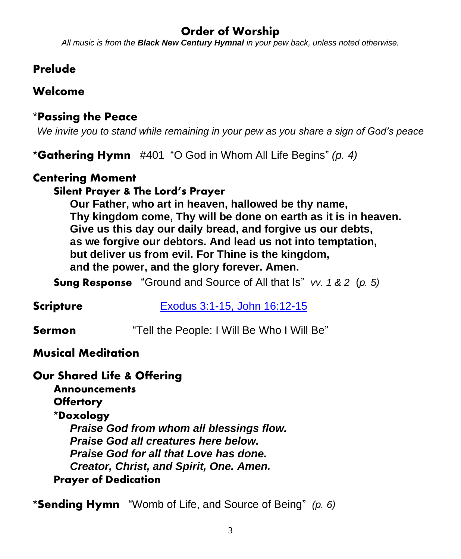### Order of Worship

*All music is from the Black New Century Hymnal in your pew back, unless noted otherwise.*

#### Prelude

#### Welcome

#### \*Passing the Peace

*We invite you to stand while remaining in your pew as you share a sign of God's peace*

\*Gathering Hymn #401 "O God in Whom All Life Begins" *(p. 4)*

#### Centering Moment

#### Silent Prayer & The Lord's Prayer

**Our Father, who art in heaven, hallowed be thy name, Thy kingdom come, Thy will be done on earth as it is in heaven. Give us this day our daily bread, and forgive us our debts, as we forgive our debtors. And lead us not into temptation, but deliver us from evil. For Thine is the kingdom, and the power, and the glory forever. Amen.**

**Sung Response** "Ground and Source of All that Is" *vv. 1 & 2* (*p. 5)*

**Scripture [Exodus 3:1-15,](https://www.biblegateway.com/passage/?search=Exodus+3%3A1-15%2C+John+16%3A12-15&version=NRSVUE) John 16:12-15** 

**Sermon** "Tell the People: I Will Be Who I Will Be"

#### Musical Meditation

#### Our Shared Life & Offering

**Announcements Offertory** 

### \*Doxology

*Praise God from whom all blessings flow. Praise God all creatures here below. Praise God for all that Love has done. Creator, Christ, and Spirit, One. Amen.* Prayer of Dedication

\*Sending Hymn "Womb of Life, and Source of Being" *(p. 6)*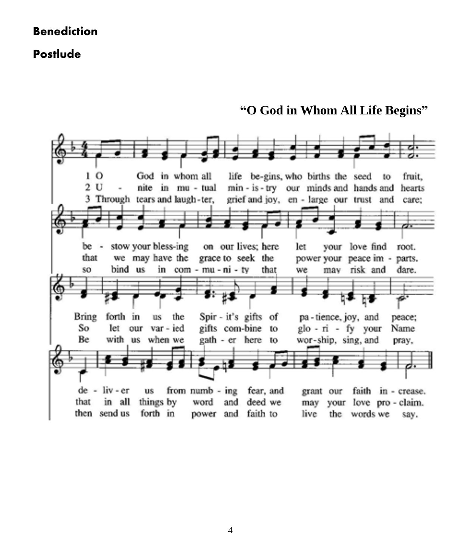#### **Benediction**

#### Postlude

**"O God in Whom All Life Begins"**

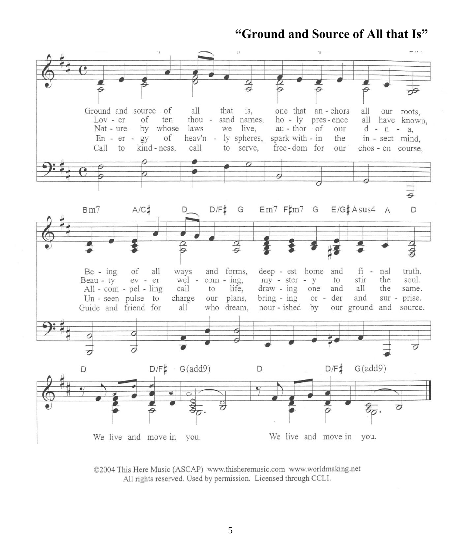#### **"Ground and Source of All that Is"**



©2004 This Here Music (ASCAP) www.thisheremusic.com www.worldmaking.net All rights reserved. Used by permission. Licensed through CCLI.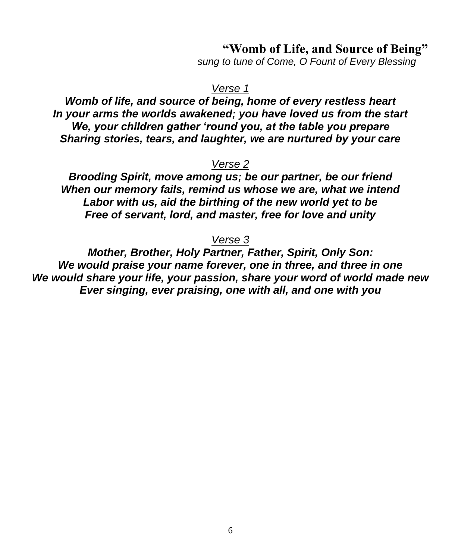#### **"Womb of Life, and Source of Being"**

*sung to tune of Come, O Fount of Every Blessing*

#### *Verse 1*

*Womb of life, and source of being, home of every restless heart In your arms the worlds awakened; you have loved us from the start We, your children gather 'round you, at the table you prepare Sharing stories, tears, and laughter, we are nurtured by your care*

#### *Verse 2*

*Brooding Spirit, move among us; be our partner, be our friend When our memory fails, remind us whose we are, what we intend Labor with us, aid the birthing of the new world yet to be Free of servant, lord, and master, free for love and unity*

#### *Verse 3*

*Mother, Brother, Holy Partner, Father, Spirit, Only Son: We would praise your name forever, one in three, and three in one We would share your life, your passion, share your word of world made new Ever singing, ever praising, one with all, and one with you*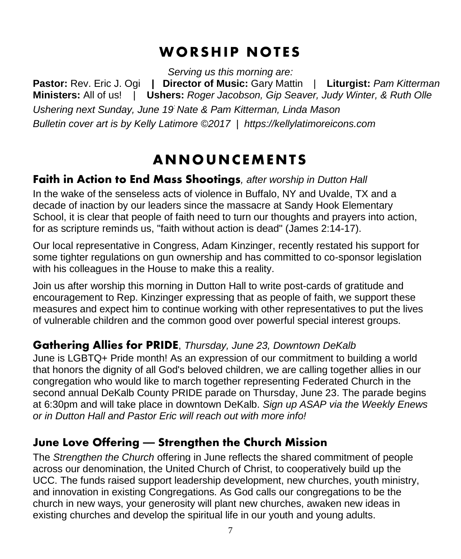# **WORSHIP NOTES**

*Serving us this morning are:*

**Pastor:** Rev. Eric J. Ogi **| Director of Music:** Gary Mattin | **Liturgist:** *Pam Kitterman* **Ministers:** All of us! | **Ushers:** *Roger Jacobson, Gip Seaver, Judy Winter, & Ruth Olle Ushering next Sunday, June 19: Nate & Pam Kitterman, Linda Mason Bulletin cover art is by Kelly Latimore ©2017 | [https://kellylatimoreicons.com](https://kellylatimoreicons.com/)*

# **ANNOUNCEMENTS**

#### Faith in Action to End Mass Shootings*, after worship in Dutton Hall*

In the wake of the senseless acts of violence in Buffalo, NY and Uvalde, TX and a decade of inaction by our leaders since the massacre at Sandy Hook Elementary School, it is clear that people of faith need to turn our thoughts and prayers into action, for as scripture reminds us, "faith without action is dead" (James 2:14-17).

Our local representative in Congress, Adam Kinzinger, recently restated his support for some tighter regulations on gun ownership and has committed to co-sponsor legislation with his colleagues in the House to make this a reality.

Join us after worship this morning in Dutton Hall to write post-cards of gratitude and encouragement to Rep. Kinzinger expressing that as people of faith, we support these measures and expect him to continue working with other representatives to put the lives of vulnerable children and the common good over powerful special interest groups.

#### **Gathering Allies for PRIDE**, *Thursday, June 23, Downtown DeKalb*

June is LGBTQ+ Pride month! As an expression of our commitment to building a world that honors the dignity of all God's beloved children, we are calling together allies in our congregation who would like to march together representing Federated Church in the second annual DeKalb County PRIDE parade on Thursday, June 23. The parade begins at 6:30pm and will take place in downtown DeKalb. *Sign up ASAP via the Weekly Enews or in Dutton Hall and Pastor Eric will reach out with more info!*

#### **June Love Offering — Strengthen the Church Mission**

The *Strengthen the Church* offering in June reflects the shared commitment of people across our denomination, the United Church of Christ, to cooperatively build up the UCC. The funds raised support leadership development, new churches, youth ministry, and innovation in existing Congregations. As God calls our congregations to be the church in new ways, your generosity will plant new churches, awaken new ideas in existing churches and develop the spiritual life in our youth and young adults.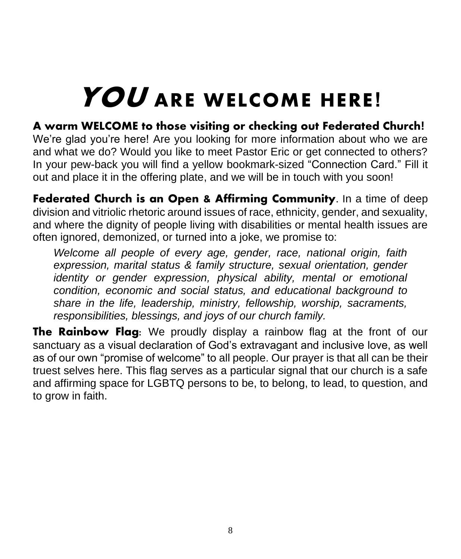# **YOU ARE WELCOME HERE!**

### **A warm WELCOME to those visiting or checking out Federated Church!**

We're glad you're here! Are you looking for more information about who we are and what we do? Would you like to meet Pastor Eric or get connected to others? In your pew-back you will find a yellow bookmark-sized "Connection Card." Fill it out and place it in the offering plate, and we will be in touch with you soon!

**Federated Church is an Open & Affirming Community**. In a time of deep division and vitriolic rhetoric around issues of race, ethnicity, gender, and sexuality, and where the dignity of people living with disabilities or mental health issues are often ignored, demonized, or turned into a joke, we promise to:

*Welcome all people of every age, gender, race, national origin, faith expression, marital status & family structure, sexual orientation, gender identity or gender expression, physical ability, mental or emotional condition, economic and social status, and educational background to share in the life, leadership, ministry, fellowship, worship, sacraments, responsibilities, blessings, and joys of our church family.*

**The Rainbow Flag:** We proudly display a rainbow flag at the front of our sanctuary as a visual declaration of God's extravagant and inclusive love, as well as of our own "promise of welcome" to all people. Our prayer is that all can be their truest selves here. This flag serves as a particular signal that our church is a safe and affirming space for LGBTQ persons to be, to belong, to lead, to question, and to grow in faith.